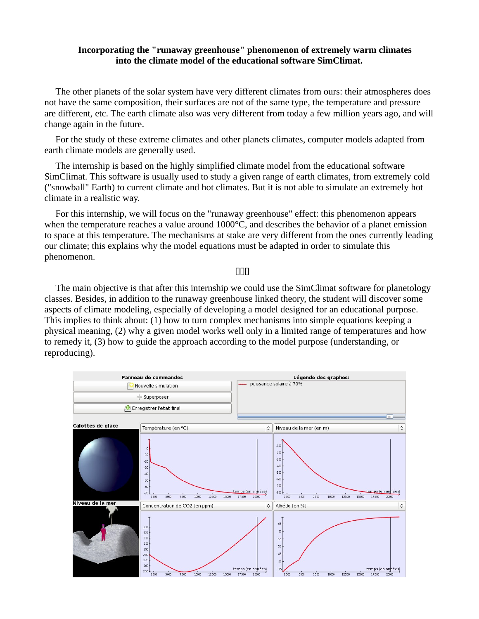# **Incorporating the "runaway greenhouse" phenomenon of extremely warm climates into the climate model of the educational software SimClimat.**

The other planets of the solar system have very different climates from ours: their atmospheres does not have the same composition, their surfaces are not of the same type, the temperature and pressure are different, etc. The earth climate also was very different from today a few million years ago, and will change again in the future.

For the study of these extreme climates and other planets climates, computer models adapted from earth climate models are generally used.

The internship is based on the highly simplified climate model from the educational software SimClimat. This software is usually used to study a given range of earth climates, from extremely cold ("snowball" Earth) to current climate and hot climates. But it is not able to simulate an extremely hot climate in a realistic way.

For this internship, we will focus on the "runaway greenhouse" effect: this phenomenon appears when the temperature reaches a value around 1000°C, and describes the behavior of a planet emission to space at this temperature. The mechanisms at stake are very different from the ones currently leading our climate; this explains why the model equations must be adapted in order to simulate this phenomenon.

# 000

The main objective is that after this internship we could use the SimClimat software for planetology classes. Besides, in addition to the runaway greenhouse linked theory, the student will discover some aspects of climate modeling, especially of developing a model designed for an educational purpose. This implies to think about: (1) how to turn complex mechanisms into simple equations keeping a physical meaning, (2) why a given model works well only in a limited range of temperatures and how to remedy it, (3) how to guide the approach according to the model purpose (understanding, or reproducing).

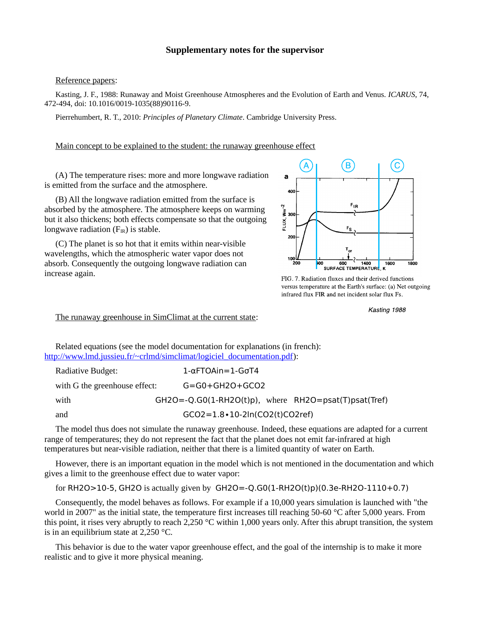### **Supplementary notes for the supervisor**

#### Reference papers:

Kasting, J. F., 1988: Runaway and Moist Greenhouse Atmospheres and the Evolution of Earth and Venus. *ICARUS*, 74, 472-494, doi: 10.1016/0019-1035(88)90116-9.

Pierrehumbert, R. T., 2010: *Principles of Planetary Climate*. Cambridge University Press.

### Main concept to be explained to the student: the runaway greenhouse effect

(A) The temperature rises: more and more longwave radiation is emitted from the surface and the atmosphere.

(B) All the longwave radiation emitted from the surface is absorbed by the atmosphere. The atmosphere keeps on warming but it also thickens; both effects compensate so that the outgoing longwave radiation  $(F_{IR})$  is stable.

(C) The planet is so hot that it emits within near-visible wavelengths, which the atmospheric water vapor does not absorb. Consequently the outgoing longwave radiation can increase again.



FIG. 7. Radiation fluxes and their derived functions versus temperature at the Earth's surface: (a) Net outgoing infrared flux FIR and net incident solar flux Fs.

Kasting 1988

The runaway greenhouse in SimClimat at the current state:

Related equations (see the model documentation for explanations (in french): [http://www.lmd.jussieu.fr/~crlmd/simclimat/logiciel\\_documentation.pdf\)](http://www.lmd.jussieu.fr/~crlmd/simclimat/logiciel_documentation.pdf):

| Radiative Budget:             | $1-\alpha$ FTOAin=1-G $\sigma$ T4                             |
|-------------------------------|---------------------------------------------------------------|
| with G the greenhouse effect: | $G = G0 + GH2O + GCO2$                                        |
| with                          | $GH2O = -Q.GO(1-RH2O(t)p)$ , where $RH2O = psat(T)psat(Tref)$ |
| and                           | $GCO2 = 1.8 \cdot 10 - 2\ln(CO2(t)CO2ref)$                    |

The model thus does not simulate the runaway greenhouse. Indeed, these equations are adapted for a current range of temperatures; they do not represent the fact that the planet does not emit far-infrared at high temperatures but near-visible radiation, neither that there is a limited quantity of water on Earth.

However, there is an important equation in the model which is not mentioned in the documentation and which gives a limit to the greenhouse effect due to water vapor:

for RH2O>10-5, GH2O is actually given by GH2O=-Q.G0(1-RH2O(t)p)(0.3e-RH2O-1110+0.7)

Consequently, the model behaves as follows. For example if a 10,000 years simulation is launched with "the world in 2007" as the initial state, the temperature first increases till reaching 50-60 °C after 5,000 years. From this point, it rises very abruptly to reach 2,250 °C within 1,000 years only. After this abrupt transition, the system is in an equilibrium state at 2,250 °C.

This behavior is due to the water vapor greenhouse effect, and the goal of the internship is to make it more realistic and to give it more physical meaning.